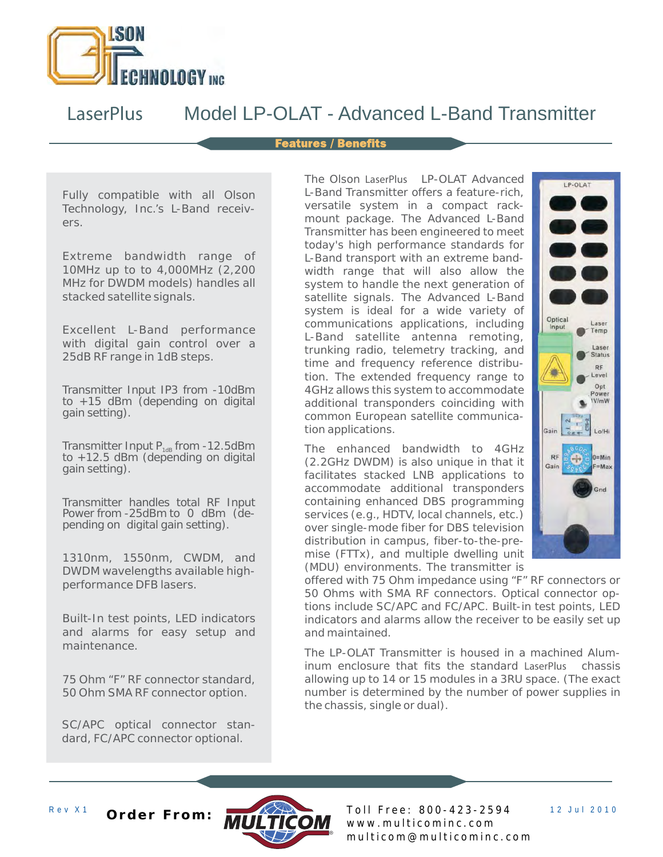

# *LaserPlus* Model LP-OLAT - Advanced L-Band Transmitter

#### **Features / Benefits**

Fully compatible with all Olson Technology, Inc.'s L-Band receivers.

Extreme bandwidth range of 10MHz up to to 4,000MHz (2,200 MHz for DWDM models) handles all stacked satellite signals.

Excellent L-Band performance with digital gain control over a 25dB RF range in 1dB steps.

Transmitter Input IP3 from -10dBm to  $+15$  dBm (depending on digital gain setting).

Transmitter Input  $P_{1dB}$  from -12.5dBm to +12.5 dBm (depending on digital gain setting).

Transmitter handles total RF Input Power from -25dBm to 0 dBm (depending on digital gain setting).

1310nm, 1550nm, CWDM, and DWDM wavelengths available highperformance DFB lasers.

Built-In test points, LED indicators and alarms for easy setup and maintenance.

75 Ohm "F" RF connector standard, 50 Ohm SMA RF connector option.

SC/APC optical connector standard, FC/APC connector optional.

The Olson LaserPlus LP-OLAT Advanced L-Band Transmitter offers a feature-rich, versatile system in a compact rackmount package. The Advanced L-Band Transmitter has been engineered to meet today's high performance standards for L-Band transport with an extreme bandwidth range that will also allow the system to handle the next generation of satellite signals. The Advanced L-Band system is ideal for a wide variety of communications applications, including L-Band satellite antenna remoting, trunking radio, telemetry tracking, and time and frequency reference distribution. The extended frequency range to 4GHz allows this system to accommodate additional transponders coinciding with common European satellite communication applications.

The enhanced bandwidth to 4GHz (2.2GHz DWDM) is also unique in that it facilitates stacked LNB applications to accommodate additional transponders containing enhanced DBS programming services (e.g., HDTV, local channels, etc.) over single-mode fiber for DBS television distribution in campus, fiber-to-the-premise (FTTx), and multiple dwelling unit (MDU) environments. The transmitter is



offered with 75 Ohm impedance using "F" RF connectors or 50 Ohms with SMA RF connectors. Optical connector options include SC/APC and FC/APC. Built-in test points, LED indicators and alarms allow the receiver to be easily set up and maintained.

The LP-OLAT Transmitter is housed in a machined Aluminum enclosure that fits the standard LaserPlus chassis allowing up to 14 or 15 modules in a 3RU space. (The exact number is determined by the number of power supplies in the chassis, single or dual).



Rev X1 **Order From:** MULTICOM Toll Free: 800-423-2594 12 Jul 2010 w w w . m u l t i c o m i n c . c o m m u l t i c o m @ m u l t i c o m i n c . c o m